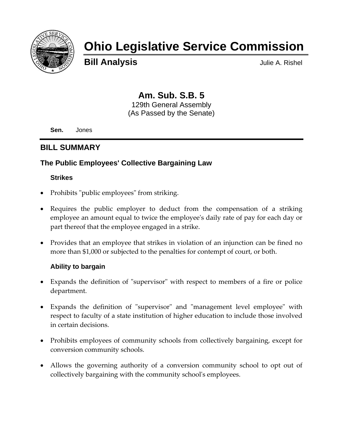

# **Ohio Legislative Service Commission**

**Bill Analysis Bill Analysis** 

# **Am. Sub. S.B. 5**

129th General Assembly (As Passed by the Senate)

**Sen.** Jones

# **BILL SUMMARY**

# **The Public Employees' Collective Bargaining Law**

# **Strikes**

- Prohibits "public employees" from striking.
- Requires the public employer to deduct from the compensation of a striking employee an amount equal to twice the employeeʹs daily rate of pay for each day or part thereof that the employee engaged in a strike.
- Provides that an employee that strikes in violation of an injunction can be fined no more than \$1,000 or subjected to the penalties for contempt of court, or both.

# **Ability to bargain**

- Expands the definition of "supervisor" with respect to members of a fire or police department.
- Expands the definition of "supervisor" and "management level employee" with respect to faculty of a state institution of higher education to include those involved in certain decisions.
- Prohibits employees of community schools from collectively bargaining, except for conversion community schools.
- Allows the governing authority of a conversion community school to opt out of collectively bargaining with the community schoolʹs employees.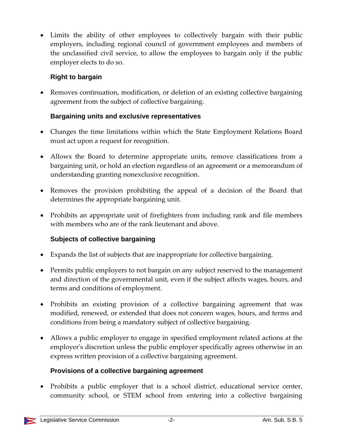• Limits the ability of other employees to collectively bargain with their public employers, including regional council of government employees and members of the unclassified civil service, to allow the employees to bargain only if the public employer elects to do so.

# **Right to bargain**

• Removes continuation, modification, or deletion of an existing collective bargaining agreement from the subject of collective bargaining.

# **Bargaining units and exclusive representatives**

- Changes the time limitations within which the State Employment Relations Board must act upon a request for recognition.
- Allows the Board to determine appropriate units, remove classifications from a bargaining unit, or hold an election regardless of an agreement or a memorandum of understanding granting nonexclusive recognition.
- Removes the provision prohibiting the appeal of a decision of the Board that determines the appropriate bargaining unit.
- Prohibits an appropriate unit of firefighters from including rank and file members with members who are of the rank lieutenant and above.

# **Subjects of collective bargaining**

- Expands the list of subjects that are inappropriate for collective bargaining.
- Permits public employers to not bargain on any subject reserved to the management and direction of the governmental unit, even if the subject affects wages, hours, and terms and conditions of employment.
- Prohibits an existing provision of a collective bargaining agreement that was modified, renewed, or extended that does not concern wages, hours, and terms and conditions from being a mandatory subject of collective bargaining.
- Allows a public employer to engage in specified employment related actions at the employer's discretion unless the public employer specifically agrees otherwise in an express written provision of a collective bargaining agreement.

# **Provisions of a collective bargaining agreement**

• Prohibits a public employer that is a school district, educational service center, community school, or STEM school from entering into a collective bargaining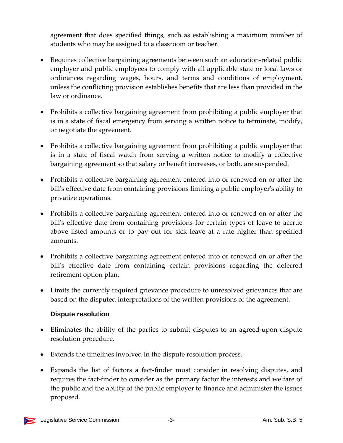agreement that does specified things, such as establishing a maximum number of students who may be assigned to a classroom or teacher.

- Requires collective bargaining agreements between such an education-related public employer and public employees to comply with all applicable state or local laws or ordinances regarding wages, hours, and terms and conditions of employment, unless the conflicting provision establishes benefits that are less than provided in the law or ordinance.
- Prohibits a collective bargaining agreement from prohibiting a public employer that is in a state of fiscal emergency from serving a written notice to terminate, modify, or negotiate the agreement.
- Prohibits a collective bargaining agreement from prohibiting a public employer that is in a state of fiscal watch from serving a written notice to modify a collective bargaining agreement so that salary or benefit increases, or both, are suspended.
- Prohibits a collective bargaining agreement entered into or renewed on or after the bill's effective date from containing provisions limiting a public employer's ability to privatize operations.
- Prohibits a collective bargaining agreement entered into or renewed on or after the bill's effective date from containing provisions for certain types of leave to accrue above listed amounts or to pay out for sick leave at a rate higher than specified amounts.
- Prohibits a collective bargaining agreement entered into or renewed on or after the bill's effective date from containing certain provisions regarding the deferred retirement option plan.
- Limits the currently required grievance procedure to unresolved grievances that are based on the disputed interpretations of the written provisions of the agreement.

# **Dispute resolution**

- Eliminates the ability of the parties to submit disputes to an agreed-upon dispute resolution procedure.
- Extends the timelines involved in the dispute resolution process.
- Expands the list of factors a fact-finder must consider in resolving disputes, and requires the fact‐finder to consider as the primary factor the interests and welfare of the public and the ability of the public employer to finance and administer the issues proposed.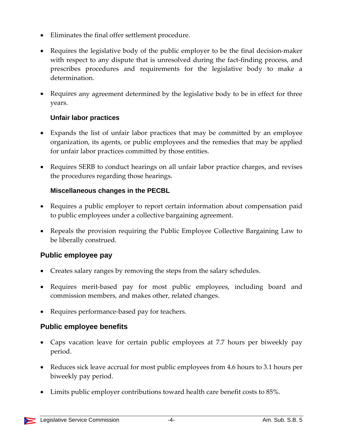- Eliminates the final offer settlement procedure.
- Requires the legislative body of the public employer to be the final decision-maker with respect to any dispute that is unresolved during the fact-finding process, and prescribes procedures and requirements for the legislative body to make a determination.
- Requires any agreement determined by the legislative body to be in effect for three years.

# **Unfair labor practices**

- Expands the list of unfair labor practices that may be committed by an employee organization, its agents, or public employees and the remedies that may be applied for unfair labor practices committed by those entities.
- Requires SERB to conduct hearings on all unfair labor practice charges, and revises the procedures regarding those hearings.

# **Miscellaneous changes in the PECBL**

- Requires a public employer to report certain information about compensation paid to public employees under a collective bargaining agreement.
- Repeals the provision requiring the Public Employee Collective Bargaining Law to be liberally construed.

# **Public employee pay**

- Creates salary ranges by removing the steps from the salary schedules.
- Requires merit-based pay for most public employees, including board and commission members, and makes other, related changes.
- Requires performance-based pay for teachers.

# **Public employee benefits**

- Caps vacation leave for certain public employees at 7.7 hours per biweekly pay period.
- Reduces sick leave accrual for most public employees from 4.6 hours to 3.1 hours per biweekly pay period.
- Limits public employer contributions toward health care benefit costs to 85%.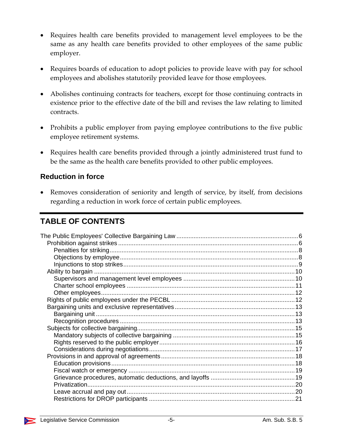- Requires health care benefits provided to management level employees to be the same as any health care benefits provided to other employees of the same public employer.
- Requires boards of education to adopt policies to provide leave with pay for school employees and abolishes statutorily provided leave for those employees.
- Abolishes continuing contracts for teachers, except for those continuing contracts in existence prior to the effective date of the bill and revises the law relating to limited contracts.
- Prohibits a public employer from paying employee contributions to the five public employee retirement systems.
- Requires health care benefits provided through a jointly administered trust fund to be the same as the health care benefits provided to other public employees.

# **Reduction in force**

• Removes consideration of seniority and length of service, by itself, from decisions regarding a reduction in work force of certain public employees.

# **TABLE OF CONTENTS**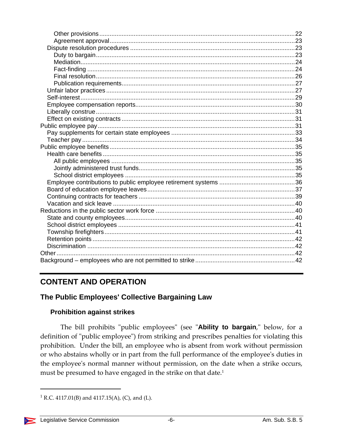# **CONTENT AND OPERATION**

# The Public Employees' Collective Bargaining Law

#### **Prohibition against strikes**

The bill prohibits "public employees" (see "Ability to bargain," below, for a definition of "public employee") from striking and prescribes penalties for violating this prohibition. Under the bill, an employee who is absent from work without permission or who abstains wholly or in part from the full performance of the employee's duties in the employee's normal manner without permission, on the date when a strike occurs, must be presumed to have engaged in the strike on that date.<sup>1</sup>

<sup>&</sup>lt;sup>1</sup> R.C. 4117.01(B) and 4117.15(A), (C), and (L).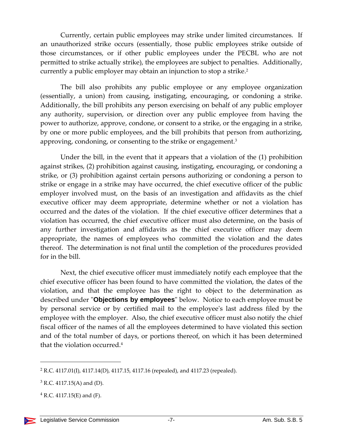Currently, certain public employees may strike under limited circumstances. If an unauthorized strike occurs (essentially, those public employees strike outside of those circumstances, or if other public employees under the PECBL who are not permitted to strike actually strike), the employees are subject to penalties. Additionally, currently a public employer may obtain an injunction to stop a strike.2

The bill also prohibits any public employee or any employee organization (essentially, a union) from causing, instigating, encouraging, or condoning a strike. Additionally, the bill prohibits any person exercising on behalf of any public employer any authority, supervision, or direction over any public employee from having the power to authorize, approve, condone, or consent to a strike, or the engaging in a strike, by one or more public employees, and the bill prohibits that person from authorizing, approving, condoning, or consenting to the strike or engagement.<sup>3</sup>

Under the bill, in the event that it appears that a violation of the (1) prohibition against strikes, (2) prohibition against causing, instigating, encouraging, or condoning a strike, or (3) prohibition against certain persons authorizing or condoning a person to strike or engage in a strike may have occurred, the chief executive officer of the public employer involved must, on the basis of an investigation and affidavits as the chief executive officer may deem appropriate, determine whether or not a violation has occurred and the dates of the violation. If the chief executive officer determines that a violation has occurred, the chief executive officer must also determine, on the basis of any further investigation and affidavits as the chief executive officer may deem appropriate, the names of employees who committed the violation and the dates thereof. The determination is not final until the completion of the procedures provided for in the bill.

Next, the chief executive officer must immediately notify each employee that the chief executive officer has been found to have committed the violation, the dates of the violation, and that the employee has the right to object to the determination as described under "**Objections by employees**" below. Notice to each employee must be by personal service or by certified mail to the employeeʹs last address filed by the employee with the employer. Also, the chief executive officer must also notify the chief fiscal officer of the names of all the employees determined to have violated this section and of the total number of days, or portions thereof, on which it has been determined that the violation occurred.4

 $2$  R.C. 4117.01(I), 4117.14(D), 4117.15, 4117.16 (repealed), and 4117.23 (repealed).

 $3$  R.C. 4117.15(A) and (D).

 $4$  R.C. 4117.15(E) and (F).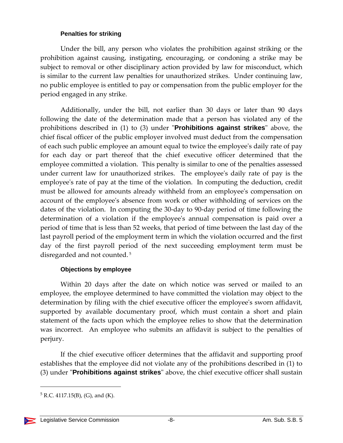#### **Penalties for striking**

Under the bill, any person who violates the prohibition against striking or the prohibition against causing, instigating, encouraging, or condoning a strike may be subject to removal or other disciplinary action provided by law for misconduct, which is similar to the current law penalties for unauthorized strikes. Under continuing law, no public employee is entitled to pay or compensation from the public employer for the period engaged in any strike.

Additionally, under the bill, not earlier than 30 days or later than 90 days following the date of the determination made that a person has violated any of the prohibitions described in (1) to (3) under "**Prohibitions against strikes**" above, the chief fiscal officer of the public employer involved must deduct from the compensation of each such public employee an amount equal to twice the employeeʹs daily rate of pay for each day or part thereof that the chief executive officer determined that the employee committed a violation. This penalty is similar to one of the penalties assessed under current law for unauthorized strikes. The employeeʹs daily rate of pay is the employee's rate of pay at the time of the violation. In computing the deduction, credit must be allowed for amounts already withheld from an employeeʹs compensation on account of the employeeʹs absence from work or other withholding of services on the dates of the violation. In computing the 30‐day to 90‐day period of time following the determination of a violation if the employee's annual compensation is paid over a period of time that is less than 52 weeks, that period of time between the last day of the last payroll period of the employment term in which the violation occurred and the first day of the first payroll period of the next succeeding employment term must be disregarded and not counted. <sup>5</sup>

#### **Objections by employee**

Within 20 days after the date on which notice was served or mailed to an employee, the employee determined to have committed the violation may object to the determination by filing with the chief executive officer the employee's sworn affidavit, supported by available documentary proof, which must contain a short and plain statement of the facts upon which the employee relies to show that the determination was incorrect. An employee who submits an affidavit is subject to the penalties of perjury.

If the chief executive officer determines that the affidavit and supporting proof establishes that the employee did not violate any of the prohibitions described in (1) to (3) under "**Prohibitions against strikes**" above, the chief executive officer shall sustain

  $5$  R.C. 4117.15(B), (G), and (K).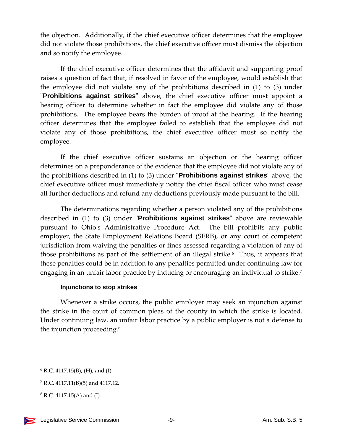the objection. Additionally, if the chief executive officer determines that the employee did not violate those prohibitions, the chief executive officer must dismiss the objection and so notify the employee.

If the chief executive officer determines that the affidavit and supporting proof raises a question of fact that, if resolved in favor of the employee, would establish that the employee did not violate any of the prohibitions described in (1) to (3) under "Prohibitions against strikes" above, the chief executive officer must appoint a hearing officer to determine whether in fact the employee did violate any of those prohibitions. The employee bears the burden of proof at the hearing. If the hearing officer determines that the employee failed to establish that the employee did not violate any of those prohibitions, the chief executive officer must so notify the employee.

If the chief executive officer sustains an objection or the hearing officer determines on a preponderance of the evidence that the employee did not violate any of the prohibitions described in (1) to (3) under "**Prohibitions against strikes**" above, the chief executive officer must immediately notify the chief fiscal officer who must cease all further deductions and refund any deductions previously made pursuant to the bill.

The determinations regarding whether a person violated any of the prohibitions described in (1) to (3) under "**Prohibitions against strikes**" above are reviewable pursuant to Ohio's Administrative Procedure Act. The bill prohibits any public employer, the State Employment Relations Board (SERB), or any court of competent jurisdiction from waiving the penalties or fines assessed regarding a violation of any of those prohibitions as part of the settlement of an illegal strike.<sup> $6$ </sup> Thus, it appears that these penalties could be in addition to any penalties permitted under continuing law for engaging in an unfair labor practice by inducing or encouraging an individual to strike.<sup>7</sup>

#### **Injunctions to stop strikes**

Whenever a strike occurs, the public employer may seek an injunction against the strike in the court of common pleas of the county in which the strike is located. Under continuing law, an unfair labor practice by a public employer is not a defense to the injunction proceeding.<sup>8</sup>

 $6$  R.C. 4117.15(B), (H), and (I).

 $7 R.C. 4117.11(B)(5)$  and 4117.12.

 $8$  R.C. 4117.15(A) and (J).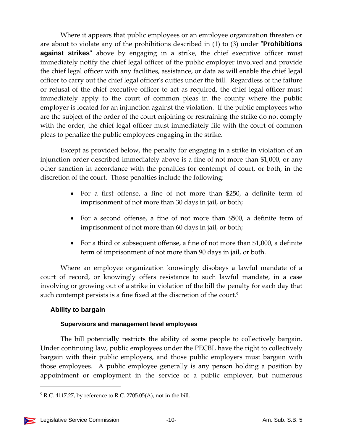Where it appears that public employees or an employee organization threaten or are about to violate any of the prohibitions described in (1) to (3) under **Prohibitions against strikes**" above by engaging in a strike, the chief executive officer must immediately notify the chief legal officer of the public employer involved and provide the chief legal officer with any facilities, assistance, or data as will enable the chief legal officer to carry out the chief legal officerʹs duties under the bill. Regardless of the failure or refusal of the chief executive officer to act as required, the chief legal officer must immediately apply to the court of common pleas in the county where the public employer is located for an injunction against the violation. If the public employees who are the subject of the order of the court enjoining or restraining the strike do not comply with the order, the chief legal officer must immediately file with the court of common pleas to penalize the public employees engaging in the strike.

Except as provided below, the penalty for engaging in a strike in violation of an injunction order described immediately above is a fine of not more than \$1,000, or any other sanction in accordance with the penalties for contempt of court, or both, in the discretion of the court. Those penalties include the following:

- For a first offense, a fine of not more than \$250, a definite term of imprisonment of not more than 30 days in jail, or both;
- For a second offense, a fine of not more than \$500, a definite term of imprisonment of not more than 60 days in jail, or both;
- For a third or subsequent offense, a fine of not more than \$1,000, a definite term of imprisonment of not more than 90 days in jail, or both.

Where an employee organization knowingly disobeys a lawful mandate of a court of record, or knowingly offers resistance to such lawful mandate, in a case involving or growing out of a strike in violation of the bill the penalty for each day that such contempt persists is a fine fixed at the discretion of the court.<sup>9</sup>

# **Ability to bargain**

#### **Supervisors and management level employees**

The bill potentially restricts the ability of some people to collectively bargain. Under continuing law, public employees under the PECBL have the right to collectively bargain with their public employers, and those public employers must bargain with those employees. A public employee generally is any person holding a position by appointment or employment in the service of a public employer, but numerous

 $9$  R.C. 4117.27, by reference to R.C. 2705.05(A), not in the bill.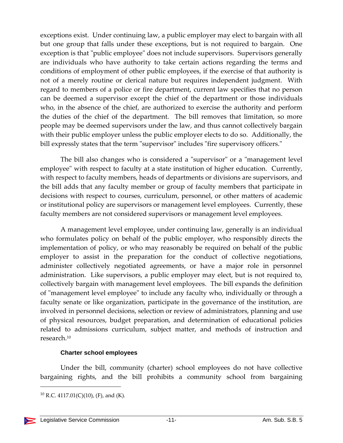exceptions exist. Under continuing law, a public employer may elect to bargain with all but one group that falls under these exceptions, but is not required to bargain. One exception is that "public employee" does not include supervisors. Supervisors generally are individuals who have authority to take certain actions regarding the terms and conditions of employment of other public employees, if the exercise of that authority is not of a merely routine or clerical nature but requires independent judgment. With regard to members of a police or fire department, current law specifies that no person can be deemed a supervisor except the chief of the department or those individuals who, in the absence of the chief, are authorized to exercise the authority and perform the duties of the chief of the department. The bill removes that limitation, so more people may be deemed supervisors under the law, and thus cannot collectively bargain with their public employer unless the public employer elects to do so. Additionally, the bill expressly states that the term "supervisor" includes "fire supervisory officers."

The bill also changes who is considered a "supervisor" or a "management level employee" with respect to faculty at a state institution of higher education. Currently, with respect to faculty members, heads of departments or divisions are supervisors, and the bill adds that any faculty member or group of faculty members that participate in decisions with respect to courses, curriculum, personnel, or other matters of academic or institutional policy are supervisors or management level employees. Currently, these faculty members are not considered supervisors or management level employees.

A management level employee, under continuing law, generally is an individual who formulates policy on behalf of the public employer, who responsibly directs the implementation of policy, or who may reasonably be required on behalf of the public employer to assist in the preparation for the conduct of collective negotiations, administer collectively negotiated agreements, or have a major role in personnel administration. Like supervisors, a public employer may elect, but is not required to, collectively bargain with management level employees. The bill expands the definition of "management level employee" to include any faculty who, individually or through a faculty senate or like organization, participate in the governance of the institution, are involved in personnel decisions, selection or review of administrators, planning and use of physical resources, budget preparation, and determination of educational policies related to admissions curriculum, subject matter, and methods of instruction and research.10

#### **Charter school employees**

Under the bill, community (charter) school employees do not have collective bargaining rights, and the bill prohibits a community school from bargaining

  $^{10}$  R.C. 4117.01(C)(10), (F), and (K).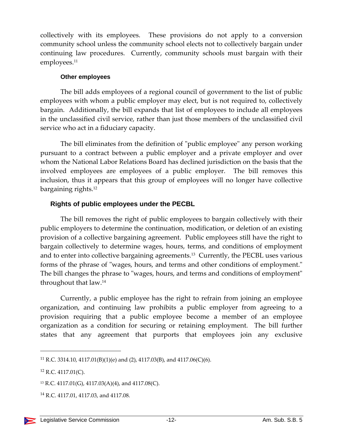collectively with its employees. These provisions do not apply to a conversion community school unless the community school elects not to collectively bargain under continuing law procedures. Currently, community schools must bargain with their employees.<sup>11</sup>

#### **Other employees**

The bill adds employees of a regional council of government to the list of public employees with whom a public employer may elect, but is not required to, collectively bargain. Additionally, the bill expands that list of employees to include all employees in the unclassified civil service, rather than just those members of the unclassified civil service who act in a fiduciary capacity.

The bill eliminates from the definition of "public employee" any person working pursuant to a contract between a public employer and a private employer and over whom the National Labor Relations Board has declined jurisdiction on the basis that the involved employees are employees of a public employer. The bill removes this inclusion, thus it appears that this group of employees will no longer have collective bargaining rights.12

#### **Rights of public employees under the PECBL**

The bill removes the right of public employees to bargain collectively with their public employers to determine the continuation, modification, or deletion of an existing provision of a collective bargaining agreement. Public employees still have the right to bargain collectively to determine wages, hours, terms, and conditions of employment and to enter into collective bargaining agreements.13 Currently, the PECBL uses various forms of the phrase of "wages, hours, and terms and other conditions of employment." The bill changes the phrase to "wages, hours, and terms and conditions of employment" throughout that law.14

Currently, a public employee has the right to refrain from joining an employee organization, and continuing law prohibits a public employer from agreeing to a provision requiring that a public employee become a member of an employee organization as a condition for securing or retaining employment. The bill further states that any agreement that purports that employees join any exclusive

<sup>&</sup>lt;sup>11</sup> R.C. 3314.10, 4117.01(B)(1)(e) and (2), 4117.03(B), and 4117.06(C)(6).

<sup>12</sup> R.C. 4117.01(C).

<sup>13</sup> R.C. 4117.01(G), 4117.03(A)(4), and 4117.08(C).

<sup>&</sup>lt;sup>14</sup> R.C. 4117.01, 4117.03, and 4117.08.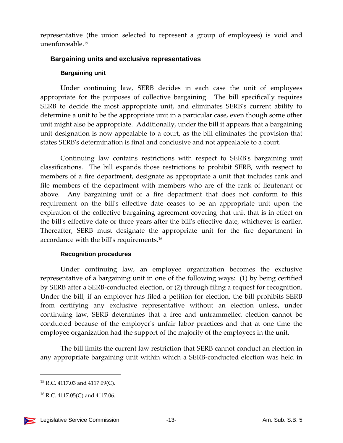representative (the union selected to represent a group of employees) is void and unenforceable.15

#### **Bargaining units and exclusive representatives**

#### **Bargaining unit**

Under continuing law, SERB decides in each case the unit of employees appropriate for the purposes of collective bargaining. The bill specifically requires SERB to decide the most appropriate unit, and eliminates SERBʹs current ability to determine a unit to be the appropriate unit in a particular case, even though some other unit might also be appropriate. Additionally, under the bill it appears that a bargaining unit designation is now appealable to a court, as the bill eliminates the provision that states SERBʹs determination is final and conclusive and not appealable to a court.

Continuing law contains restrictions with respect to SERBʹs bargaining unit classifications. The bill expands those restrictions to prohibit SERB, with respect to members of a fire department, designate as appropriate a unit that includes rank and file members of the department with members who are of the rank of lieutenant or above. Any bargaining unit of a fire department that does not conform to this requirement on the billʹs effective date ceases to be an appropriate unit upon the expiration of the collective bargaining agreement covering that unit that is in effect on the billʹs effective date or three years after the billʹs effective date, whichever is earlier. Thereafter, SERB must designate the appropriate unit for the fire department in accordance with the bill's requirements.<sup>16</sup>

#### **Recognition procedures**

Under continuing law, an employee organization becomes the exclusive representative of a bargaining unit in one of the following ways: (1) by being certified by SERB after a SERB‐conducted election, or (2) through filing a request for recognition. Under the bill, if an employer has filed a petition for election, the bill prohibits SERB from certifying any exclusive representative without an election unless, under continuing law, SERB determines that a free and untrammelled election cannot be conducted because of the employerʹs unfair labor practices and that at one time the employee organization had the support of the majority of the employees in the unit.

The bill limits the current law restriction that SERB cannot conduct an election in any appropriate bargaining unit within which a SERB‐conducted election was held in

 <sup>15</sup> R.C. 4117.03 and 4117.09(C).

 $16$  R.C. 4117.05(C) and 4117.06.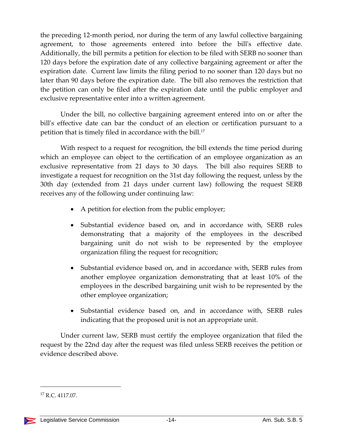the preceding 12‐month period, nor during the term of any lawful collective bargaining agreement, to those agreements entered into before the bill's effective date. Additionally, the bill permits a petition for election to be filed with SERB no sooner than 120 days before the expiration date of any collective bargaining agreement or after the expiration date. Current law limits the filing period to no sooner than 120 days but no later than 90 days before the expiration date. The bill also removes the restriction that the petition can only be filed after the expiration date until the public employer and exclusive representative enter into a written agreement.

Under the bill, no collective bargaining agreement entered into on or after the bill's effective date can bar the conduct of an election or certification pursuant to a petition that is timely filed in accordance with the bill.17

With respect to a request for recognition, the bill extends the time period during which an employee can object to the certification of an employee organization as an exclusive representative from 21 days to 30 days. The bill also requires SERB to investigate a request for recognition on the 31st day following the request, unless by the 30th day (extended from 21 days under current law) following the request SERB receives any of the following under continuing law:

- A petition for election from the public employer;
- Substantial evidence based on, and in accordance with, SERB rules demonstrating that a majority of the employees in the described bargaining unit do not wish to be represented by the employee organization filing the request for recognition;
- Substantial evidence based on, and in accordance with, SERB rules from another employee organization demonstrating that at least 10% of the employees in the described bargaining unit wish to be represented by the other employee organization;
- Substantial evidence based on, and in accordance with, SERB rules indicating that the proposed unit is not an appropriate unit.

Under current law, SERB must certify the employee organization that filed the request by the 22nd day after the request was filed unless SERB receives the petition or evidence described above.

<sup>17</sup> R.C. 4117.07.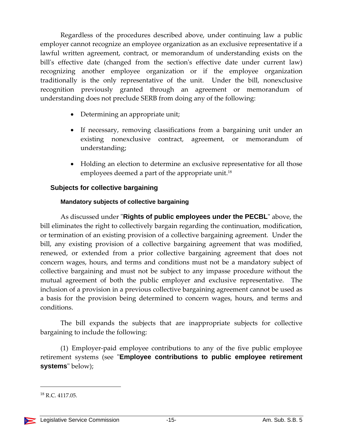Regardless of the procedures described above, under continuing law a public employer cannot recognize an employee organization as an exclusive representative if a lawful written agreement, contract, or memorandum of understanding exists on the bill's effective date (changed from the section's effective date under current law) recognizing another employee organization or if the employee organization traditionally is the only representative of the unit. Under the bill, nonexclusive recognition previously granted through an agreement or memorandum of understanding does not preclude SERB from doing any of the following:

- Determining an appropriate unit;
- If necessary, removing classifications from a bargaining unit under an existing nonexclusive contract, agreement, or memorandum of understanding;
- Holding an election to determine an exclusive representative for all those employees deemed a part of the appropriate unit.<sup>18</sup>

# **Subjects for collective bargaining**

# **Mandatory subjects of collective bargaining**

As discussed under "**Rights of public employees under the PECBL**" above, the bill eliminates the right to collectively bargain regarding the continuation, modification, or termination of an existing provision of a collective bargaining agreement. Under the bill, any existing provision of a collective bargaining agreement that was modified, renewed, or extended from a prior collective bargaining agreement that does not concern wages, hours, and terms and conditions must not be a mandatory subject of collective bargaining and must not be subject to any impasse procedure without the mutual agreement of both the public employer and exclusive representative. The inclusion of a provision in a previous collective bargaining agreement cannot be used as a basis for the provision being determined to concern wages, hours, and terms and conditions.

The bill expands the subjects that are inappropriate subjects for collective bargaining to include the following:

(1) Employer‐paid employee contributions to any of the five public employee retirement systems (see "Employee contributions to public employee retirement systems" below);

<sup>18</sup> R.C. 4117.05.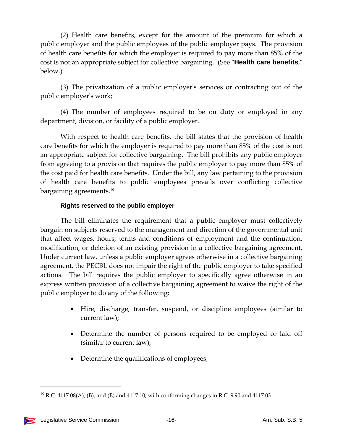(2) Health care benefits, except for the amount of the premium for which a public employer and the public employees of the public employer pays. The provision of health care benefits for which the employer is required to pay more than 85% of the cost is not an appropriate subject for collective bargaining. (See "Health care benefits," below.)

(3) The privatization of a public employerʹs services or contracting out of the public employerʹs work;

(4) The number of employees required to be on duty or employed in any department, division, or facility of a public employer.

With respect to health care benefits, the bill states that the provision of health care benefits for which the employer is required to pay more than 85% of the cost is not an appropriate subject for collective bargaining. The bill prohibits any public employer from agreeing to a provision that requires the public employer to pay more than 85% of the cost paid for health care benefits. Under the bill, any law pertaining to the provision of health care benefits to public employees prevails over conflicting collective bargaining agreements.19

#### **Rights reserved to the public employer**

The bill eliminates the requirement that a public employer must collectively bargain on subjects reserved to the management and direction of the governmental unit that affect wages, hours, terms and conditions of employment and the continuation, modification, or deletion of an existing provision in a collective bargaining agreement. Under current law, unless a public employer agrees otherwise in a collective bargaining agreement, the PECBL does not impair the right of the public employer to take specified actions. The bill requires the public employer to specifically agree otherwise in an express written provision of a collective bargaining agreement to waive the right of the public employer to do any of the following:

- Hire, discharge, transfer, suspend, or discipline employees (similar to current law);
- Determine the number of persons required to be employed or laid off (similar to current law);
- Determine the qualifications of employees;

 $^{19}$  R.C. 4117.08(A), (B), and (E) and 4117.10, with conforming changes in R.C. 9.90 and 4117.03.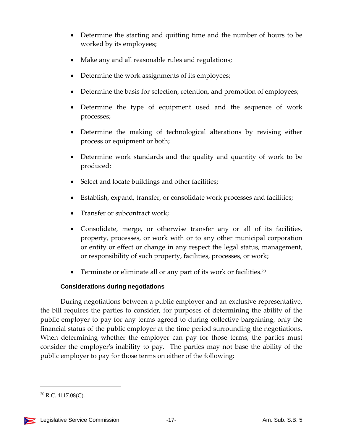- Determine the starting and quitting time and the number of hours to be worked by its employees;
- Make any and all reasonable rules and regulations;
- Determine the work assignments of its employees;
- Determine the basis for selection, retention, and promotion of employees;
- Determine the type of equipment used and the sequence of work processes;
- Determine the making of technological alterations by revising either process or equipment or both;
- Determine work standards and the quality and quantity of work to be produced;
- Select and locate buildings and other facilities;
- Establish, expand, transfer, or consolidate work processes and facilities;
- Transfer or subcontract work;
- Consolidate, merge, or otherwise transfer any or all of its facilities, property, processes, or work with or to any other municipal corporation or entity or effect or change in any respect the legal status, management, or responsibility of such property, facilities, processes, or work;
- Terminate or eliminate all or any part of its work or facilities.<sup>20</sup>

#### **Considerations during negotiations**

During negotiations between a public employer and an exclusive representative, the bill requires the parties to consider, for purposes of determining the ability of the public employer to pay for any terms agreed to during collective bargaining, only the financial status of the public employer at the time period surrounding the negotiations. When determining whether the employer can pay for those terms, the parties must consider the employerʹs inability to pay. The parties may not base the ability of the public employer to pay for those terms on either of the following:

 $^{20}$  R.C. 4117.08(C).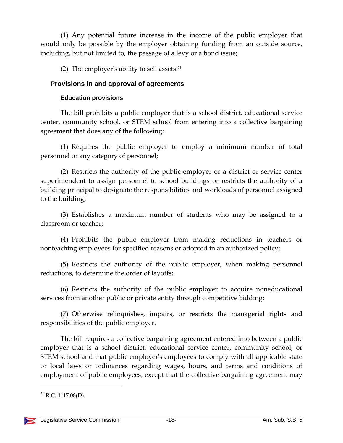(1) Any potential future increase in the income of the public employer that would only be possible by the employer obtaining funding from an outside source, including, but not limited to, the passage of a levy or a bond issue;

(2) The employer's ability to sell assets.<sup>21</sup>

#### **Provisions in and approval of agreements**

#### **Education provisions**

The bill prohibits a public employer that is a school district, educational service center, community school, or STEM school from entering into a collective bargaining agreement that does any of the following:

(1) Requires the public employer to employ a minimum number of total personnel or any category of personnel;

(2) Restricts the authority of the public employer or a district or service center superintendent to assign personnel to school buildings or restricts the authority of a building principal to designate the responsibilities and workloads of personnel assigned to the building;

(3) Establishes a maximum number of students who may be assigned to a classroom or teacher;

(4) Prohibits the public employer from making reductions in teachers or nonteaching employees for specified reasons or adopted in an authorized policy;

(5) Restricts the authority of the public employer, when making personnel reductions, to determine the order of layoffs;

(6) Restricts the authority of the public employer to acquire noneducational services from another public or private entity through competitive bidding;

(7) Otherwise relinquishes, impairs, or restricts the managerial rights and responsibilities of the public employer.

The bill requires a collective bargaining agreement entered into between a public employer that is a school district, educational service center, community school, or STEM school and that public employer's employees to comply with all applicable state or local laws or ordinances regarding wages, hours, and terms and conditions of employment of public employees, except that the collective bargaining agreement may

 $^{21}$  R.C. 4117.08(D).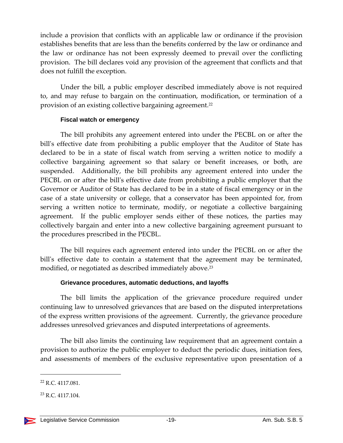include a provision that conflicts with an applicable law or ordinance if the provision establishes benefits that are less than the benefits conferred by the law or ordinance and the law or ordinance has not been expressly deemed to prevail over the conflicting provision. The bill declares void any provision of the agreement that conflicts and that does not fulfill the exception.

Under the bill, a public employer described immediately above is not required to, and may refuse to bargain on the continuation, modification, or termination of a provision of an existing collective bargaining agreement.22

#### **Fiscal watch or emergency**

The bill prohibits any agreement entered into under the PECBL on or after the bill's effective date from prohibiting a public employer that the Auditor of State has declared to be in a state of fiscal watch from serving a written notice to modify a collective bargaining agreement so that salary or benefit increases, or both, are suspended. Additionally, the bill prohibits any agreement entered into under the PECBL on or after the bill's effective date from prohibiting a public employer that the Governor or Auditor of State has declared to be in a state of fiscal emergency or in the case of a state university or college, that a conservator has been appointed for, from serving a written notice to terminate, modify, or negotiate a collective bargaining agreement. If the public employer sends either of these notices, the parties may collectively bargain and enter into a new collective bargaining agreement pursuant to the procedures prescribed in the PECBL.

The bill requires each agreement entered into under the PECBL on or after the bill's effective date to contain a statement that the agreement may be terminated, modified, or negotiated as described immediately above.<sup>23</sup>

#### **Grievance procedures, automatic deductions, and layoffs**

The bill limits the application of the grievance procedure required under continuing law to unresolved grievances that are based on the disputed interpretations of the express written provisions of the agreement. Currently, the grievance procedure addresses unresolved grievances and disputed interpretations of agreements.

The bill also limits the continuing law requirement that an agreement contain a provision to authorize the public employer to deduct the periodic dues, initiation fees, and assessments of members of the exclusive representative upon presentation of a

<sup>22</sup> R.C. 4117.081.

<sup>23</sup> R.C. 4117.104.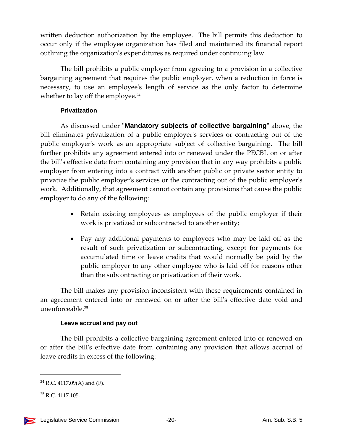written deduction authorization by the employee. The bill permits this deduction to occur only if the employee organization has filed and maintained its financial report outlining the organizationʹs expenditures as required under continuing law.

The bill prohibits a public employer from agreeing to a provision in a collective bargaining agreement that requires the public employer, when a reduction in force is necessary, to use an employee's length of service as the only factor to determine whether to lay off the employee.<sup>24</sup>

#### **Privatization**

As discussed under **"Mandatory subjects of collective bargaining**" above, the bill eliminates privatization of a public employer's services or contracting out of the public employerʹs work as an appropriate subject of collective bargaining. The bill further prohibits any agreement entered into or renewed under the PECBL on or after the billʹs effective date from containing any provision that in any way prohibits a public employer from entering into a contract with another public or private sector entity to privatize the public employer's services or the contracting out of the public employer's work. Additionally, that agreement cannot contain any provisions that cause the public employer to do any of the following:

- Retain existing employees as employees of the public employer if their work is privatized or subcontracted to another entity;
- Pay any additional payments to employees who may be laid off as the result of such privatization or subcontracting, except for payments for accumulated time or leave credits that would normally be paid by the public employer to any other employee who is laid off for reasons other than the subcontracting or privatization of their work.

The bill makes any provision inconsistent with these requirements contained in an agreement entered into or renewed on or after the billʹs effective date void and unenforceable $25$ 

# **Leave accrual and pay out**

The bill prohibits a collective bargaining agreement entered into or renewed on or after the billʹs effective date from containing any provision that allows accrual of leave credits in excess of the following:

 $24$  R.C. 4117.09(A) and (F).

 $25$  R.C. 4117.105.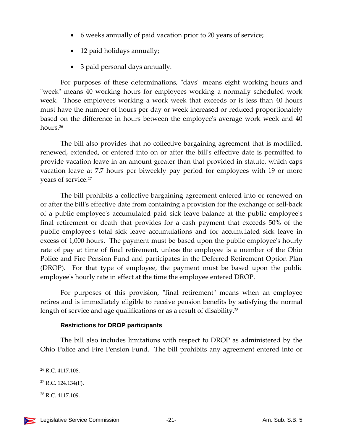- 6 weeks annually of paid vacation prior to 20 years of service;
- 12 paid holidays annually;
- 3 paid personal days annually.

For purposes of these determinations, "days" means eight working hours and ʺweekʺ means 40 working hours for employees working a normally scheduled work week. Those employees working a work week that exceeds or is less than 40 hours must have the number of hours per day or week increased or reduced proportionately based on the difference in hours between the employee's average work week and 40 hours.<sup>26</sup>

The bill also provides that no collective bargaining agreement that is modified, renewed, extended, or entered into on or after the billʹs effective date is permitted to provide vacation leave in an amount greater than that provided in statute, which caps vacation leave at 7.7 hours per biweekly pay period for employees with 19 or more years of service.<sup>27</sup>

The bill prohibits a collective bargaining agreement entered into or renewed on or after the billʹs effective date from containing a provision for the exchange or sell‐back of a public employeeʹs accumulated paid sick leave balance at the public employeeʹs final retirement or death that provides for a cash payment that exceeds 50% of the public employee's total sick leave accumulations and for accumulated sick leave in excess of 1,000 hours. The payment must be based upon the public employee's hourly rate of pay at time of final retirement, unless the employee is a member of the Ohio Police and Fire Pension Fund and participates in the Deferred Retirement Option Plan (DROP). For that type of employee, the payment must be based upon the public employee's hourly rate in effect at the time the employee entered DROP.

For purposes of this provision, "final retirement" means when an employee retires and is immediately eligible to receive pension benefits by satisfying the normal length of service and age qualifications or as a result of disability.<sup>28</sup>

#### **Restrictions for DROP participants**

The bill also includes limitations with respect to DROP as administered by the Ohio Police and Fire Pension Fund. The bill prohibits any agreement entered into or

<sup>26</sup> R.C. 4117.108.

<sup>27</sup> R.C. 124.134(F).

<sup>28</sup> R.C. 4117.109.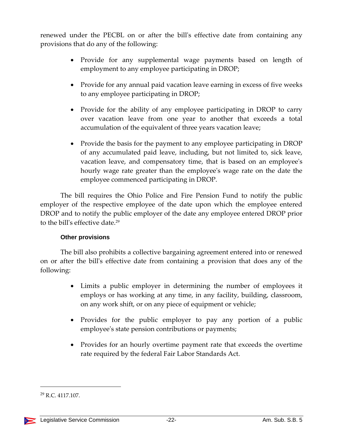renewed under the PECBL on or after the bill's effective date from containing any provisions that do any of the following:

- Provide for any supplemental wage payments based on length of employment to any employee participating in DROP;
- Provide for any annual paid vacation leave earning in excess of five weeks to any employee participating in DROP;
- Provide for the ability of any employee participating in DROP to carry over vacation leave from one year to another that exceeds a total accumulation of the equivalent of three years vacation leave;
- Provide the basis for the payment to any employee participating in DROP of any accumulated paid leave, including, but not limited to, sick leave, vacation leave, and compensatory time, that is based on an employeeʹs hourly wage rate greater than the employeeʹs wage rate on the date the employee commenced participating in DROP.

The bill requires the Ohio Police and Fire Pension Fund to notify the public employer of the respective employee of the date upon which the employee entered DROP and to notify the public employer of the date any employee entered DROP prior to the bill's effective date.<sup>29</sup>

#### **Other provisions**

The bill also prohibits a collective bargaining agreement entered into or renewed on or after the billʹs effective date from containing a provision that does any of the following:

- Limits a public employer in determining the number of employees it employs or has working at any time, in any facility, building, classroom, on any work shift, or on any piece of equipment or vehicle;
- Provides for the public employer to pay any portion of a public employee's state pension contributions or payments;
- Provides for an hourly overtime payment rate that exceeds the overtime rate required by the federal Fair Labor Standards Act.

<sup>29</sup> R.C. 4117.107.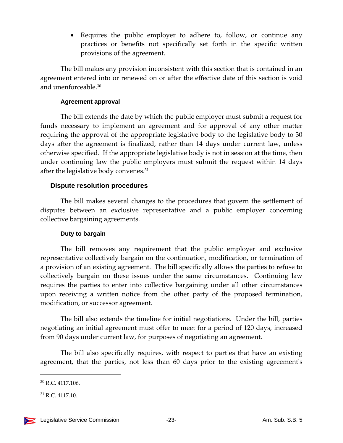• Requires the public employer to adhere to, follow, or continue any practices or benefits not specifically set forth in the specific written provisions of the agreement.

The bill makes any provision inconsistent with this section that is contained in an agreement entered into or renewed on or after the effective date of this section is void and unenforceable.30

#### **Agreement approval**

The bill extends the date by which the public employer must submit a request for funds necessary to implement an agreement and for approval of any other matter requiring the approval of the appropriate legislative body to the legislative body to 30 days after the agreement is finalized, rather than 14 days under current law, unless otherwise specified. If the appropriate legislative body is not in session at the time, then under continuing law the public employers must submit the request within 14 days after the legislative body convenes.31

#### **Dispute resolution procedures**

The bill makes several changes to the procedures that govern the settlement of disputes between an exclusive representative and a public employer concerning collective bargaining agreements.

#### **Duty to bargain**

The bill removes any requirement that the public employer and exclusive representative collectively bargain on the continuation, modification, or termination of a provision of an existing agreement. The bill specifically allows the parties to refuse to collectively bargain on these issues under the same circumstances. Continuing law requires the parties to enter into collective bargaining under all other circumstances upon receiving a written notice from the other party of the proposed termination, modification, or successor agreement.

The bill also extends the timeline for initial negotiations. Under the bill, parties negotiating an initial agreement must offer to meet for a period of 120 days, increased from 90 days under current law, for purposes of negotiating an agreement.

The bill also specifically requires, with respect to parties that have an existing agreement, that the parties, not less than 60 days prior to the existing agreement's

<sup>30</sup> R.C. 4117.106.

 $31$  R.C. 4117.10.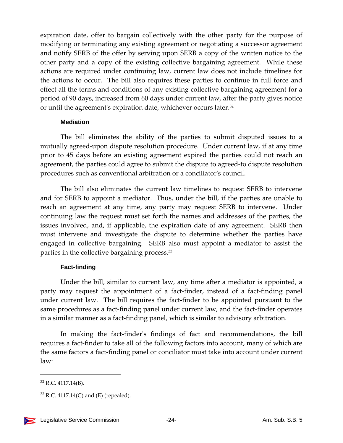expiration date, offer to bargain collectively with the other party for the purpose of modifying or terminating any existing agreement or negotiating a successor agreement and notify SERB of the offer by serving upon SERB a copy of the written notice to the other party and a copy of the existing collective bargaining agreement. While these actions are required under continuing law, current law does not include timelines for the actions to occur. The bill also requires these parties to continue in full force and effect all the terms and conditions of any existing collective bargaining agreement for a period of 90 days, increased from 60 days under current law, after the party gives notice or until the agreement's expiration date, whichever occurs later.<sup>32</sup>

#### **Mediation**

The bill eliminates the ability of the parties to submit disputed issues to a mutually agreed-upon dispute resolution procedure. Under current law, if at any time prior to 45 days before an existing agreement expired the parties could not reach an agreement, the parties could agree to submit the dispute to agreed‐to dispute resolution procedures such as conventional arbitration or a conciliator's council.

The bill also eliminates the current law timelines to request SERB to intervene and for SERB to appoint a mediator. Thus, under the bill, if the parties are unable to reach an agreement at any time, any party may request SERB to intervene. Under continuing law the request must set forth the names and addresses of the parties, the issues involved, and, if applicable, the expiration date of any agreement. SERB then must intervene and investigate the dispute to determine whether the parties have engaged in collective bargaining. SERB also must appoint a mediator to assist the parties in the collective bargaining process.33

#### **Fact-finding**

Under the bill, similar to current law, any time after a mediator is appointed, a party may request the appointment of a fact-finder, instead of a fact-finding panel under current law. The bill requires the fact-finder to be appointed pursuant to the same procedures as a fact-finding panel under current law, and the fact-finder operates in a similar manner as a fact‐finding panel, which is similar to advisory arbitration.

In making the fact-finder's findings of fact and recommendations, the bill requires a fact‐finder to take all of the following factors into account, many of which are the same factors a fact‐finding panel or conciliator must take into account under current law:

<sup>32</sup> R.C. 4117.14(B).

 $33$  R.C. 4117.14(C) and (E) (repealed).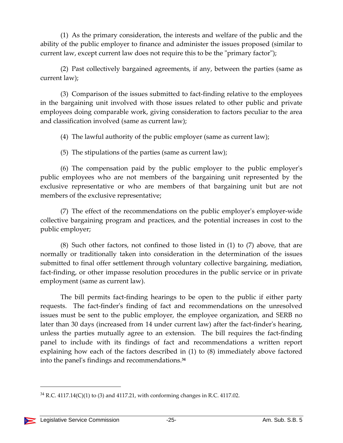(1) As the primary consideration, the interests and welfare of the public and the ability of the public employer to finance and administer the issues proposed (similar to current law, except current law does not require this to be the "primary factor");

(2) Past collectively bargained agreements, if any, between the parties (same as current law);

(3) Comparison of the issues submitted to fact‐finding relative to the employees in the bargaining unit involved with those issues related to other public and private employees doing comparable work, giving consideration to factors peculiar to the area and classification involved (same as current law);

(4) The lawful authority of the public employer (same as current law);

(5) The stipulations of the parties (same as current law);

(6) The compensation paid by the public employer to the public employerʹs public employees who are not members of the bargaining unit represented by the exclusive representative or who are members of that bargaining unit but are not members of the exclusive representative;

(7) The effect of the recommendations on the public employer's employer-wide collective bargaining program and practices, and the potential increases in cost to the public employer;

(8) Such other factors, not confined to those listed in (1) to (7) above, that are normally or traditionally taken into consideration in the determination of the issues submitted to final offer settlement through voluntary collective bargaining, mediation, fact-finding, or other impasse resolution procedures in the public service or in private employment (same as current law).

The bill permits fact-finding hearings to be open to the public if either party requests. The fact-finder's finding of fact and recommendations on the unresolved issues must be sent to the public employer, the employee organization, and SERB no later than 30 days (increased from 14 under current law) after the fact-finder's hearing, unless the parties mutually agree to an extension. The bill requires the fact-finding panel to include with its findings of fact and recommendations a written report explaining how each of the factors described in (1) to (8) immediately above factored into the panelʹs findings and recommendations.**<sup>34</sup>**

 $34$  R.C. 4117.14(C)(1) to (3) and 4117.21, with conforming changes in R.C. 4117.02.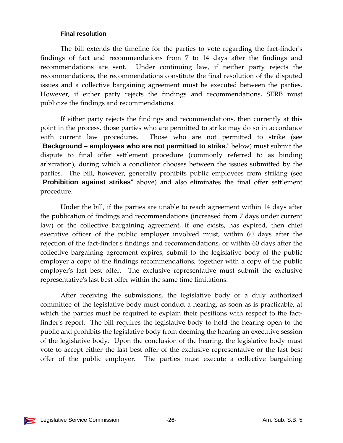#### **Final resolution**

The bill extends the timeline for the parties to vote regarding the fact-finder's findings of fact and recommendations from 7 to 14 days after the findings and recommendations are sent. Under continuing law, if neither party rejects the recommendations, the recommendations constitute the final resolution of the disputed issues and a collective bargaining agreement must be executed between the parties. However, if either party rejects the findings and recommendations, SERB must publicize the findings and recommendations.

If either party rejects the findings and recommendations, then currently at this point in the process, those parties who are permitted to strike may do so in accordance with current law procedures. Those who are not permitted to strike (see **"Background – employees who are not permitted to strike**," below) must submit the dispute to final offer settlement procedure (commonly referred to as binding arbitration), during which a conciliator chooses between the issues submitted by the parties. The bill, however, generally prohibits public employees from striking (see ʺ**Prohibition against strikes**ʺ above) and also eliminates the final offer settlement procedure.

Under the bill, if the parties are unable to reach agreement within 14 days after the publication of findings and recommendations (increased from 7 days under current law) or the collective bargaining agreement, if one exists, has expired, then chief executive officer of the public employer involved must, within 60 days after the rejection of the fact-finder's findings and recommendations, or within 60 days after the collective bargaining agreement expires, submit to the legislative body of the public employer a copy of the findings recommendations, together with a copy of the public employer's last best offer. The exclusive representative must submit the exclusive representativeʹs last best offer within the same time limitations.

After receiving the submissions, the legislative body or a duly authorized committee of the legislative body must conduct a hearing, as soon as is practicable, at which the parties must be required to explain their positions with respect to the factfinder's report. The bill requires the legislative body to hold the hearing open to the public and prohibits the legislative body from deeming the hearing an executive session of the legislative body. Upon the conclusion of the hearing, the legislative body must vote to accept either the last best offer of the exclusive representative or the last best offer of the public employer. The parties must execute a collective bargaining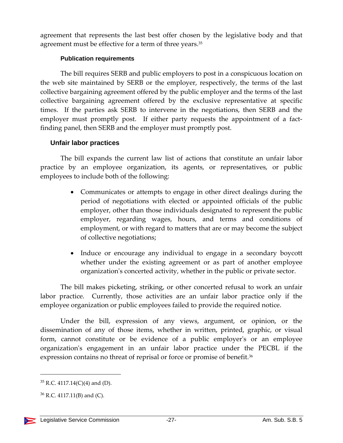agreement that represents the last best offer chosen by the legislative body and that agreement must be effective for a term of three years.<sup>35</sup>

#### **Publication requirements**

The bill requires SERB and public employers to post in a conspicuous location on the web site maintained by SERB or the employer, respectively, the terms of the last collective bargaining agreement offered by the public employer and the terms of the last collective bargaining agreement offered by the exclusive representative at specific times. If the parties ask SERB to intervene in the negotiations, then SERB and the employer must promptly post. If either party requests the appointment of a factfinding panel, then SERB and the employer must promptly post.

#### **Unfair labor practices**

The bill expands the current law list of actions that constitute an unfair labor practice by an employee organization, its agents, or representatives, or public employees to include both of the following:

- Communicates or attempts to engage in other direct dealings during the period of negotiations with elected or appointed officials of the public employer, other than those individuals designated to represent the public employer, regarding wages, hours, and terms and conditions of employment, or with regard to matters that are or may become the subject of collective negotiations;
- Induce or encourage any individual to engage in a secondary boycott whether under the existing agreement or as part of another employee organizationʹs concerted activity, whether in the public or private sector.

The bill makes picketing, striking, or other concerted refusal to work an unfair labor practice. Currently, those activities are an unfair labor practice only if the employee organization or public employees failed to provide the required notice.

Under the bill, expression of any views, argument, or opinion, or the dissemination of any of those items, whether in written, printed, graphic, or visual form, cannot constitute or be evidence of a public employer's or an employee organizationʹs engagement in an unfair labor practice under the PECBL if the expression contains no threat of reprisal or force or promise of benefit.<sup>36</sup>

 $35$  R.C. 4117.14(C)(4) and (D).

 $36$  R.C. 4117.11(B) and (C).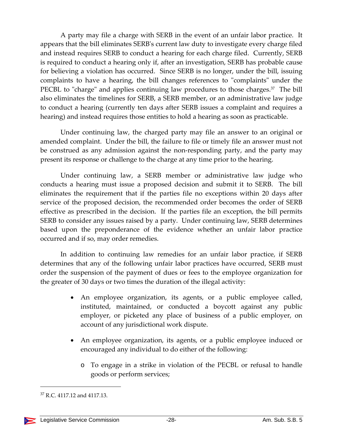A party may file a charge with SERB in the event of an unfair labor practice. It appears that the bill eliminates SERBʹs current law duty to investigate every charge filed and instead requires SERB to conduct a hearing for each charge filed. Currently, SERB is required to conduct a hearing only if, after an investigation, SERB has probable cause for believing a violation has occurred. Since SERB is no longer, under the bill, issuing complaints to have a hearing, the bill changes references to "complaints" under the PECBL to "charge" and applies continuing law procedures to those charges. $37$  The bill also eliminates the timelines for SERB, a SERB member, or an administrative law judge to conduct a hearing (currently ten days after SERB issues a complaint and requires a hearing) and instead requires those entities to hold a hearing as soon as practicable.

Under continuing law, the charged party may file an answer to an original or amended complaint. Under the bill, the failure to file or timely file an answer must not be construed as any admission against the non‐responding party, and the party may present its response or challenge to the charge at any time prior to the hearing.

Under continuing law, a SERB member or administrative law judge who conducts a hearing must issue a proposed decision and submit it to SERB. The bill eliminates the requirement that if the parties file no exceptions within 20 days after service of the proposed decision, the recommended order becomes the order of SERB effective as prescribed in the decision. If the parties file an exception, the bill permits SERB to consider any issues raised by a party. Under continuing law, SERB determines based upon the preponderance of the evidence whether an unfair labor practice occurred and if so, may order remedies.

In addition to continuing law remedies for an unfair labor practice, if SERB determines that any of the following unfair labor practices have occurred, SERB must order the suspension of the payment of dues or fees to the employee organization for the greater of 30 days or two times the duration of the illegal activity:

- An employee organization, its agents, or a public employee called, instituted, maintained, or conducted a boycott against any public employer, or picketed any place of business of a public employer, on account of any jurisdictional work dispute.
- An employee organization, its agents, or a public employee induced or encouraged any individual to do either of the following:
	- o To engage in a strike in violation of the PECBL or refusal to handle goods or perform services;

<sup>37</sup> R.C. 4117.12 and 4117.13.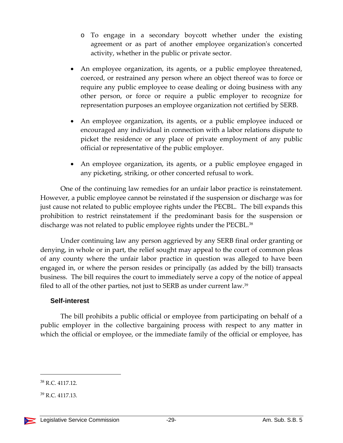- o To engage in a secondary boycott whether under the existing agreement or as part of another employee organization's concerted activity, whether in the public or private sector.
- An employee organization, its agents, or a public employee threatened, coerced, or restrained any person where an object thereof was to force or require any public employee to cease dealing or doing business with any other person, or force or require a public employer to recognize for representation purposes an employee organization not certified by SERB.
- An employee organization, its agents, or a public employee induced or encouraged any individual in connection with a labor relations dispute to picket the residence or any place of private employment of any public official or representative of the public employer.
- An employee organization, its agents, or a public employee engaged in any picketing, striking, or other concerted refusal to work.

One of the continuing law remedies for an unfair labor practice is reinstatement. However, a public employee cannot be reinstated if the suspension or discharge was for just cause not related to public employee rights under the PECBL. The bill expands this prohibition to restrict reinstatement if the predominant basis for the suspension or discharge was not related to public employee rights under the PECBL.<sup>38</sup>

Under continuing law any person aggrieved by any SERB final order granting or denying, in whole or in part, the relief sought may appeal to the court of common pleas of any county where the unfair labor practice in question was alleged to have been engaged in, or where the person resides or principally (as added by the bill) transacts business. The bill requires the court to immediately serve a copy of the notice of appeal filed to all of the other parties, not just to SERB as under current law.<sup>39</sup>

#### **Self-interest**

The bill prohibits a public official or employee from participating on behalf of a public employer in the collective bargaining process with respect to any matter in which the official or employee, or the immediate family of the official or employee, has

<sup>38</sup> R.C. 4117.12.

<sup>39</sup> R.C. 4117.13.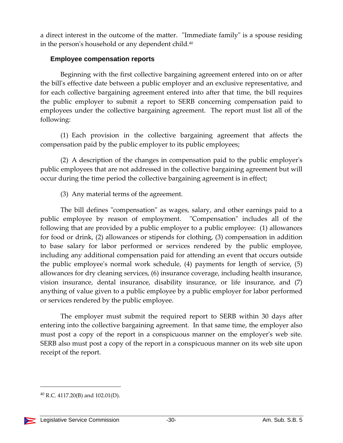a direct interest in the outcome of the matter. "Immediate family" is a spouse residing in the person's household or any dependent child.<sup>40</sup>

#### **Employee compensation reports**

Beginning with the first collective bargaining agreement entered into on or after the billʹs effective date between a public employer and an exclusive representative, and for each collective bargaining agreement entered into after that time, the bill requires the public employer to submit a report to SERB concerning compensation paid to employees under the collective bargaining agreement. The report must list all of the following:

(1) Each provision in the collective bargaining agreement that affects the compensation paid by the public employer to its public employees;

(2) A description of the changes in compensation paid to the public employerʹs public employees that are not addressed in the collective bargaining agreement but will occur during the time period the collective bargaining agreement is in effect;

(3) Any material terms of the agreement.

The bill defines "compensation" as wages, salary, and other earnings paid to a public employee by reason of employment. "Compensation" includes all of the following that are provided by a public employer to a public employee: (1) allowances for food or drink, (2) allowances or stipends for clothing, (3) compensation in addition to base salary for labor performed or services rendered by the public employee, including any additional compensation paid for attending an event that occurs outside the public employeeʹs normal work schedule, (4) payments for length of service, (5) allowances for dry cleaning services, (6) insurance coverage, including health insurance, vision insurance, dental insurance, disability insurance, or life insurance, and (7) anything of value given to a public employee by a public employer for labor performed or services rendered by the public employee.

The employer must submit the required report to SERB within 30 days after entering into the collective bargaining agreement. In that same time, the employer also must post a copy of the report in a conspicuous manner on the employer's web site. SERB also must post a copy of the report in a conspicuous manner on its web site upon receipt of the report.

 <sup>40</sup> R.C. 4117.20(B) and 102.01(D).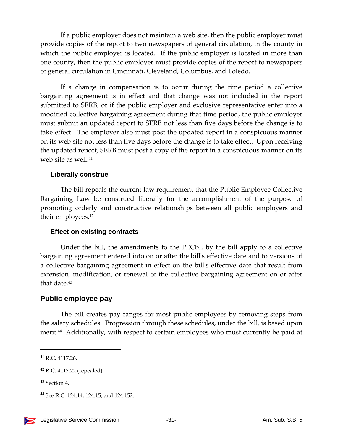If a public employer does not maintain a web site, then the public employer must provide copies of the report to two newspapers of general circulation, in the county in which the public employer is located. If the public employer is located in more than one county, then the public employer must provide copies of the report to newspapers of general circulation in Cincinnati, Cleveland, Columbus, and Toledo.

If a change in compensation is to occur during the time period a collective bargaining agreement is in effect and that change was not included in the report submitted to SERB, or if the public employer and exclusive representative enter into a modified collective bargaining agreement during that time period, the public employer must submit an updated report to SERB not less than five days before the change is to take effect. The employer also must post the updated report in a conspicuous manner on its web site not less than five days before the change is to take effect. Upon receiving the updated report, SERB must post a copy of the report in a conspicuous manner on its web site as well.<sup>41</sup>

#### **Liberally construe**

The bill repeals the current law requirement that the Public Employee Collective Bargaining Law be construed liberally for the accomplishment of the purpose of promoting orderly and constructive relationships between all public employers and their employees.<sup>42</sup>

#### **Effect on existing contracts**

Under the bill, the amendments to the PECBL by the bill apply to a collective bargaining agreement entered into on or after the billʹs effective date and to versions of a collective bargaining agreement in effect on the billʹs effective date that result from extension, modification, or renewal of the collective bargaining agreement on or after that date.<sup>43</sup>

#### **Public employee pay**

The bill creates pay ranges for most public employees by removing steps from the salary schedules. Progression through these schedules, under the bill, is based upon merit.<sup>44</sup> Additionally, with respect to certain employees who must currently be paid at

<u> Andrew Maria (1989)</u>

<sup>41</sup> R.C. 4117.26.

<sup>42</sup> R.C. 4117.22 (repealed).

<sup>&</sup>lt;sup>43</sup> Section 4.

<sup>44</sup> See R.C. 124.14, 124.15, and 124.152.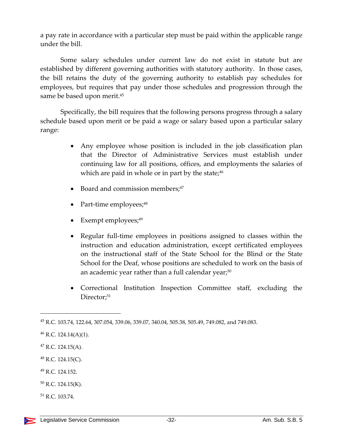a pay rate in accordance with a particular step must be paid within the applicable range under the bill.

Some salary schedules under current law do not exist in statute but are established by different governing authorities with statutory authority. In those cases, the bill retains the duty of the governing authority to establish pay schedules for employees, but requires that pay under those schedules and progression through the same be based upon merit.<sup>45</sup>

Specifically, the bill requires that the following persons progress through a salary schedule based upon merit or be paid a wage or salary based upon a particular salary range:

- Any employee whose position is included in the job classification plan that the Director of Administrative Services must establish under continuing law for all positions, offices, and employments the salaries of which are paid in whole or in part by the state; $46$
- Board and commission members; $47$
- Part-time employees;<sup>48</sup>
- Exempt employees; $49$
- Regular full-time employees in positions assigned to classes within the instruction and education administration, except certificated employees on the instructional staff of the State School for the Blind or the State School for the Deaf, whose positions are scheduled to work on the basis of an academic year rather than a full calendar year;<sup>50</sup>
- Correctional Institution Inspection Committee staff, excluding the Director;<sup>51</sup>

- <sup>49</sup> R.C. 124.152.
- <sup>50</sup> R.C. 124.15(K).
- <sup>51</sup> R.C. 103.74.

<sup>45</sup> R.C. 103.74, 122.64, 307.054, 339.06, 339.07, 340.04, 505.38, 505.49, 749.082, and 749.083.

 $46$  R.C. 124.14(A)(1).

 $47$  R.C. 124.15(A).

 $48$  R.C. 124.15(C).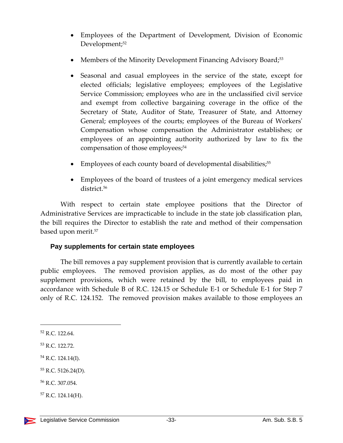- Employees of the Department of Development, Division of Economic Development;<sup>52</sup>
- Members of the Minority Development Financing Advisory Board;<sup>53</sup>
- Seasonal and casual employees in the service of the state, except for elected officials; legislative employees; employees of the Legislative Service Commission; employees who are in the unclassified civil service and exempt from collective bargaining coverage in the office of the Secretary of State, Auditor of State, Treasurer of State, and Attorney General; employees of the courts; employees of the Bureau of Workers' Compensation whose compensation the Administrator establishes; or employees of an appointing authority authorized by law to fix the compensation of those employees;<sup>54</sup>
- Employees of each county board of developmental disabilities;<sup>55</sup>
- Employees of the board of trustees of a joint emergency medical services district.56

With respect to certain state employee positions that the Director of Administrative Services are impracticable to include in the state job classification plan, the bill requires the Director to establish the rate and method of their compensation based upon merit.57

# **Pay supplements for certain state employees**

The bill removes a pay supplement provision that is currently available to certain public employees. The removed provision applies, as do most of the other pay supplement provisions, which were retained by the bill, to employees paid in accordance with Schedule B of R.C. 124.15 or Schedule E‐1 or Schedule E‐1 for Step 7 only of R.C. 124.152. The removed provision makes available to those employees an

<sup>56</sup> R.C. 307.054.

 $57$  R.C. 124.14(H).

<sup>52</sup> R.C. 122.64.

<sup>53</sup> R.C. 122.72.

<sup>54</sup> R.C. 124.14(I).

<sup>55</sup> R.C. 5126.24(D).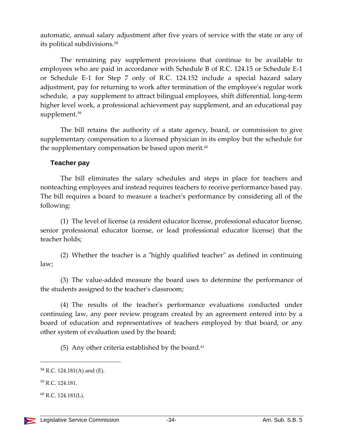automatic, annual salary adjustment after five years of service with the state or any of its political subdivisions.58

The remaining pay supplement provisions that continue to be available to employees who are paid in accordance with Schedule B of R.C. 124.15 or Schedule E‐1 or Schedule E‐1 for Step 7 only of R.C. 124.152 include a special hazard salary adjustment, pay for returning to work after termination of the employeeʹs regular work schedule, a pay supplement to attract bilingual employees, shift differential, long-term higher level work, a professional achievement pay supplement, and an educational pay supplement.<sup>59</sup>

The bill retains the authority of a state agency, board, or commission to give supplementary compensation to a licensed physician in its employ but the schedule for the supplementary compensation be based upon merit. $60$ 

#### **Teacher pay**

The bill eliminates the salary schedules and steps in place for teachers and nonteaching employees and instead requires teachers to receive performance based pay. The bill requires a board to measure a teacherʹs performance by considering all of the following:

(1) The level of license (a resident educator license, professional educator license, senior professional educator license, or lead professional educator license) that the teacher holds;

(2) Whether the teacher is a "highly qualified teacher" as defined in continuing law;

(3) The value‐added measure the board uses to determine the performance of the students assigned to the teacherʹs classroom;

(4) The results of the teacherʹs performance evaluations conducted under continuing law, any peer review program created by an agreement entered into by a board of education and representatives of teachers employed by that board, or any other system of evaluation used by the board;

(5) Any other criteria established by the board. $61$ 

<sup>58</sup> R.C. 124.181(A) and (E).

<sup>59</sup> R.C. 124.181.

 $^{60}$  R.C. 124.181(L).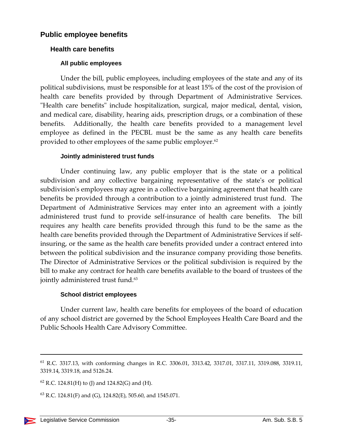# **Public employee benefits**

#### **Health care benefits**

#### **All public employees**

Under the bill, public employees, including employees of the state and any of its political subdivisions, must be responsible for at least 15% of the cost of the provision of health care benefits provided by through Department of Administrative Services. "Health care benefits" include hospitalization, surgical, major medical, dental, vision, and medical care, disability, hearing aids, prescription drugs, or a combination of these benefits. Additionally, the health care benefits provided to a management level employee as defined in the PECBL must be the same as any health care benefits provided to other employees of the same public employer.<sup>62</sup>

#### **Jointly administered trust funds**

Under continuing law, any public employer that is the state or a political subdivision and any collective bargaining representative of the state's or political subdivision's employees may agree in a collective bargaining agreement that health care benefits be provided through a contribution to a jointly administered trust fund. The Department of Administrative Services may enter into an agreement with a jointly administered trust fund to provide self‐insurance of health care benefits. The bill requires any health care benefits provided through this fund to be the same as the health care benefits provided through the Department of Administrative Services if selfinsuring, or the same as the health care benefits provided under a contract entered into between the political subdivision and the insurance company providing those benefits. The Director of Administrative Services or the political subdivision is required by the bill to make any contract for health care benefits available to the board of trustees of the jointly administered trust fund.<sup>63</sup>

#### **School district employees**

Under current law, health care benefits for employees of the board of education of any school district are governed by the School Employees Health Care Board and the Public Schools Health Care Advisory Committee.

<sup>61</sup> R.C. 3317.13, with conforming changes in R.C. 3306.01, 3313.42, 3317.01, 3317.11, 3319.088, 3319.11, 3319.14, 3319.18, and 5126.24.

 $62$  R.C. 124.81(H) to (J) and 124.82(G) and (H).

 $^{63}$  R.C. 124.81(F) and (G), 124.82(E), 505.60, and 1545.071.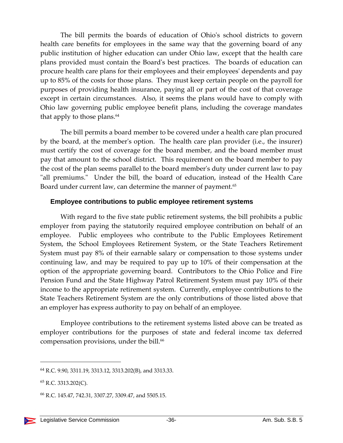The bill permits the boards of education of Ohioʹs school districts to govern health care benefits for employees in the same way that the governing board of any public institution of higher education can under Ohio law, except that the health care plans provided must contain the Boardʹs best practices. The boards of education can procure health care plans for their employees and their employeesʹ dependents and pay up to 85% of the costs for those plans. They must keep certain people on the payroll for purposes of providing health insurance, paying all or part of the cost of that coverage except in certain circumstances. Also, it seems the plans would have to comply with Ohio law governing public employee benefit plans, including the coverage mandates that apply to those plans.<sup>64</sup>

The bill permits a board member to be covered under a health care plan procured by the board, at the memberʹs option. The health care plan provider (i.e., the insurer) must certify the cost of coverage for the board member, and the board member must pay that amount to the school district. This requirement on the board member to pay the cost of the plan seems parallel to the board memberʹs duty under current law to pay "all premiums." Under the bill, the board of education, instead of the Health Care Board under current law, can determine the manner of payment.<sup>65</sup>

#### **Employee contributions to public employee retirement systems**

With regard to the five state public retirement systems, the bill prohibits a public employer from paying the statutorily required employee contribution on behalf of an employee. Public employees who contribute to the Public Employees Retirement System, the School Employees Retirement System, or the State Teachers Retirement System must pay 8% of their earnable salary or compensation to those systems under continuing law, and may be required to pay up to 10% of their compensation at the option of the appropriate governing board. Contributors to the Ohio Police and Fire Pension Fund and the State Highway Patrol Retirement System must pay 10% of their income to the appropriate retirement system. Currently, employee contributions to the State Teachers Retirement System are the only contributions of those listed above that an employer has express authority to pay on behalf of an employee.

Employee contributions to the retirement systems listed above can be treated as employer contributions for the purposes of state and federal income tax deferred compensation provisions, under the bill.<sup>66</sup>

<sup>64</sup> R.C. 9.90, 3311.19, 3313.12, 3313.202(B), and 3313.33.

<sup>65</sup> R.C. 3313.202(C).

<sup>66</sup> R.C. 145.47, 742.31, 3307.27, 3309.47, and 5505.15.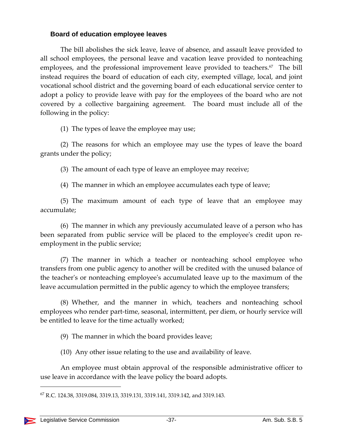#### **Board of education employee leaves**

The bill abolishes the sick leave, leave of absence, and assault leave provided to all school employees, the personal leave and vacation leave provided to nonteaching employees, and the professional improvement leave provided to teachers. $67$  The bill instead requires the board of education of each city, exempted village, local, and joint vocational school district and the governing board of each educational service center to adopt a policy to provide leave with pay for the employees of the board who are not covered by a collective bargaining agreement. The board must include all of the following in the policy:

(1) The types of leave the employee may use;

(2) The reasons for which an employee may use the types of leave the board grants under the policy;

(3) The amount of each type of leave an employee may receive;

(4) The manner in which an employee accumulates each type of leave;

(5) The maximum amount of each type of leave that an employee may accumulate;

(6) The manner in which any previously accumulated leave of a person who has been separated from public service will be placed to the employee's credit upon reemployment in the public service;

(7) The manner in which a teacher or nonteaching school employee who transfers from one public agency to another will be credited with the unused balance of the teacherʹs or nonteaching employeeʹs accumulated leave up to the maximum of the leave accumulation permitted in the public agency to which the employee transfers;

(8) Whether, and the manner in which, teachers and nonteaching school employees who render part-time, seasonal, intermittent, per diem, or hourly service will be entitled to leave for the time actually worked;

(9) The manner in which the board provides leave;

(10) Any other issue relating to the use and availability of leave.

An employee must obtain approval of the responsible administrative officer to use leave in accordance with the leave policy the board adopts.

<sup>67</sup> R.C. 124.38, 3319.084, 3319.13, 3319.131, 3319.141, 3319.142, and 3319.143.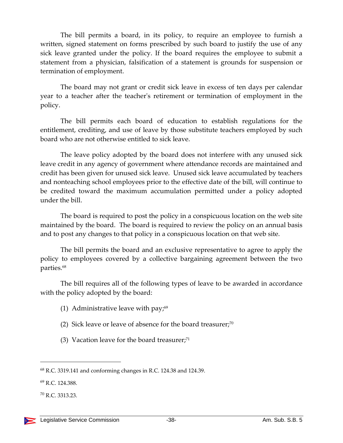The bill permits a board, in its policy, to require an employee to furnish a written, signed statement on forms prescribed by such board to justify the use of any sick leave granted under the policy. If the board requires the employee to submit a statement from a physician, falsification of a statement is grounds for suspension or termination of employment.

The board may not grant or credit sick leave in excess of ten days per calendar year to a teacher after the teacherʹs retirement or termination of employment in the policy.

The bill permits each board of education to establish regulations for the entitlement, crediting, and use of leave by those substitute teachers employed by such board who are not otherwise entitled to sick leave.

The leave policy adopted by the board does not interfere with any unused sick leave credit in any agency of government where attendance records are maintained and credit has been given for unused sick leave. Unused sick leave accumulated by teachers and nonteaching school employees prior to the effective date of the bill, will continue to be credited toward the maximum accumulation permitted under a policy adopted under the bill.

The board is required to post the policy in a conspicuous location on the web site maintained by the board. The board is required to review the policy on an annual basis and to post any changes to that policy in a conspicuous location on that web site.

The bill permits the board and an exclusive representative to agree to apply the policy to employees covered by a collective bargaining agreement between the two parties.68

The bill requires all of the following types of leave to be awarded in accordance with the policy adopted by the board:

- (1) Administrative leave with pay; $69$
- (2) Sick leave or leave of absence for the board treasurer;<sup>70</sup>
- (3) Vacation leave for the board treasurer; $71$

<sup>68</sup> R.C. 3319.141 and conforming changes in R.C. 124.38 and 124.39.

<sup>69</sup> R.C. 124.388.

<sup>70</sup> R.C. 3313.23.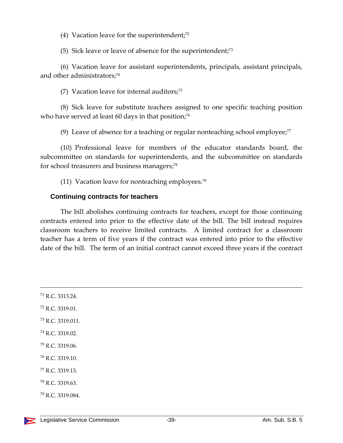(4) Vacation leave for the superintendent; $72$ 

(5) Sick leave or leave of absence for the superintendent;73

(6) Vacation leave for assistant superintendents, principals, assistant principals, and other administrators;<sup>74</sup>

(7) Vacation leave for internal auditors; $75$ 

(8) Sick leave for substitute teachers assigned to one specific teaching position who have served at least 60 days in that position;<sup>76</sup>

(9) Leave of absence for a teaching or regular nonteaching school employee; $77$ 

(10) Professional leave for members of the educator standards board, the subcommittee on standards for superintendents, and the subcommittee on standards for school treasurers and business managers;<sup>78</sup>

(11) Vacation leave for nonteaching employees.<sup>79</sup>

#### **Continuing contracts for teachers**

The bill abolishes continuing contracts for teachers, except for those continuing contracts entered into prior to the effective date of the bill. The bill instead requires classroom teachers to receive limited contracts. A limited contract for a classroom teacher has a term of five years if the contract was entered into prior to the effective date of the bill. The term of an initial contract cannot exceed three years if the contract

<u> 1989 - Johann Stoff, amerikansk politiker (d. 1989)</u>

| <sup>71</sup> R.C. 3313.24.  |  |
|------------------------------|--|
| $^{72}$ R.C. 3319.01.        |  |
| <sup>73</sup> R.C. 3319.011. |  |
| $^{74}$ R.C. 3319.02.        |  |
| <sup>75</sup> R.C. 3319.06.  |  |
| <sup>76</sup> R.C. 3319.10.  |  |
| <sup>77</sup> R.C. 3319.13.  |  |
| <sup>78</sup> R.C. 3319.63.  |  |
| <sup>79</sup> R.C. 3319.084. |  |
|                              |  |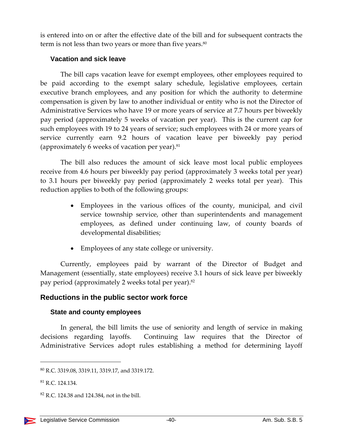is entered into on or after the effective date of the bill and for subsequent contracts the term is not less than two years or more than five years.<sup>80</sup>

#### **Vacation and sick leave**

The bill caps vacation leave for exempt employees, other employees required to be paid according to the exempt salary schedule, legislative employees, certain executive branch employees, and any position for which the authority to determine compensation is given by law to another individual or entity who is not the Director of Administrative Services who have 19 or more years of service at 7.7 hours per biweekly pay period (approximately 5 weeks of vacation per year). This is the current cap for such employees with 19 to 24 years of service; such employees with 24 or more years of service currently earn 9.2 hours of vacation leave per biweekly pay period (approximately 6 weeks of vacation per year). $81$ 

The bill also reduces the amount of sick leave most local public employees receive from 4.6 hours per biweekly pay period (approximately 3 weeks total per year) to 3.1 hours per biweekly pay period (approximately 2 weeks total per year). This reduction applies to both of the following groups:

- Employees in the various offices of the county, municipal, and civil service township service, other than superintendents and management employees, as defined under continuing law, of county boards of developmental disabilities;
- Employees of any state college or university.

Currently, employees paid by warrant of the Director of Budget and Management (essentially, state employees) receive 3.1 hours of sick leave per biweekly pay period (approximately 2 weeks total per year).82

# **Reductions in the public sector work force**

#### **State and county employees**

In general, the bill limits the use of seniority and length of service in making decisions regarding layoffs. Continuing law requires that the Director of Administrative Services adopt rules establishing a method for determining layoff

<sup>80</sup> R.C. 3319.08, 3319.11, 3319.17, and 3319.172.

<sup>81</sup> R.C. 124.134.

<sup>82</sup> R.C. 124.38 and 124.384, not in the bill.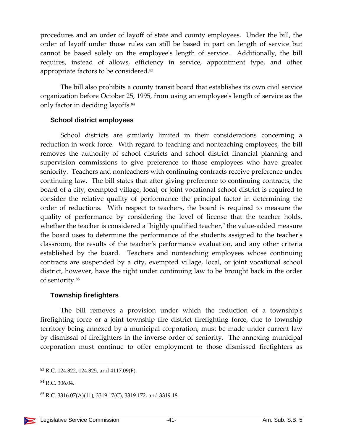procedures and an order of layoff of state and county employees. Under the bill, the order of layoff under those rules can still be based in part on length of service but cannot be based solely on the employeeʹs length of service. Additionally, the bill requires, instead of allows, efficiency in service, appointment type, and other appropriate factors to be considered.83

The bill also prohibits a county transit board that establishes its own civil service organization before October 25, 1995, from using an employeeʹs length of service as the only factor in deciding layoffs.84

#### **School district employees**

School districts are similarly limited in their considerations concerning a reduction in work force. With regard to teaching and nonteaching employees, the bill removes the authority of school districts and school district financial planning and supervision commissions to give preference to those employees who have greater seniority. Teachers and nonteachers with continuing contracts receive preference under continuing law. The bill states that after giving preference to continuing contracts, the board of a city, exempted village, local, or joint vocational school district is required to consider the relative quality of performance the principal factor in determining the order of reductions. With respect to teachers, the board is required to measure the quality of performance by considering the level of license that the teacher holds, whether the teacher is considered a "highly qualified teacher," the value-added measure the board uses to determine the performance of the students assigned to the teacherʹs classroom, the results of the teacherʹs performance evaluation, and any other criteria established by the board. Teachers and nonteaching employees whose continuing contracts are suspended by a city, exempted village, local, or joint vocational school district, however, have the right under continuing law to be brought back in the order of seniority.85

#### **Township firefighters**

The bill removes a provision under which the reduction of a townshipʹs firefighting force or a joint township fire district firefighting force, due to township territory being annexed by a municipal corporation, must be made under current law by dismissal of firefighters in the inverse order of seniority. The annexing municipal corporation must continue to offer employment to those dismissed firefighters as

 $83$  R.C. 124.322, 124.325, and 4117.09(F).

<sup>84</sup> R.C. 306.04.

 ${}^{85}$  R.C. 3316.07(A)(11), 3319.17(C), 3319.172, and 3319.18.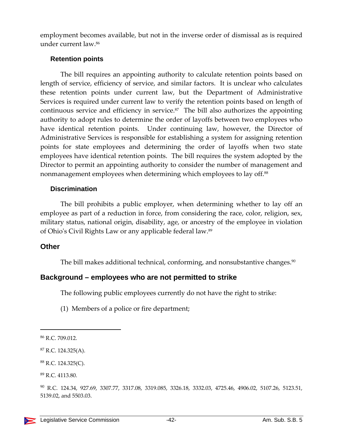employment becomes available, but not in the inverse order of dismissal as is required under current law.86

#### **Retention points**

The bill requires an appointing authority to calculate retention points based on length of service, efficiency of service, and similar factors. It is unclear who calculates these retention points under current law, but the Department of Administrative Services is required under current law to verify the retention points based on length of continuous service and efficiency in service.<sup>87</sup> The bill also authorizes the appointing authority to adopt rules to determine the order of layoffs between two employees who have identical retention points. Under continuing law, however, the Director of Administrative Services is responsible for establishing a system for assigning retention points for state employees and determining the order of layoffs when two state employees have identical retention points. The bill requires the system adopted by the Director to permit an appointing authority to consider the number of management and nonmanagement employees when determining which employees to lay off.88

#### **Discrimination**

The bill prohibits a public employer, when determining whether to lay off an employee as part of a reduction in force, from considering the race, color, religion, sex, military status, national origin, disability, age, or ancestry of the employee in violation of Ohioʹs Civil Rights Law or any applicable federal law.89

#### **Other**

The bill makes additional technical, conforming, and nonsubstantive changes.<sup>90</sup>

#### **Background – employees who are not permitted to strike**

The following public employees currently do not have the right to strike:

(1) Members of a police or fire department;

<sup>88</sup> R.C. 124.325(C).

<sup>86</sup> R.C. 709.012.

<sup>87</sup> R.C. 124.325(A).

<sup>89</sup> R.C. 4113.80.

<sup>90</sup> R.C. 124.34, 927.69, 3307.77, 3317.08, 3319.085, 3326.18, 3332.03, 4725.46, 4906.02, 5107.26, 5123.51, 5139.02, and 5503.03.